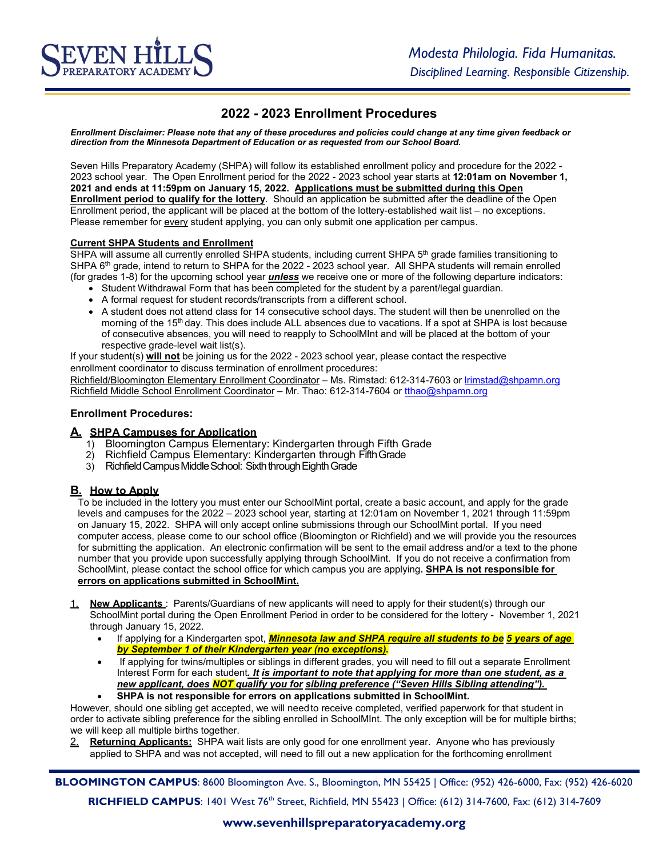# **2022 - 2023 Enrollment Procedures**

*Enrollment Disclaimer: Please note that any of these procedures and policies could change at any time given feedback or direction from the Minnesota Department of Education or as requested from our School Board.*

Seven Hills Preparatory Academy (SHPA) will follow its established enrollment policy and procedure for the 2022 - 2023 school year. The Open Enrollment period for the 2022 - 2023 school year starts at **12:01am on November 1, 2021 and ends at 11:59pm on January 15, 2022. Applications must be submitted during this Open Enrollment period to qualify for the lottery**. Should an application be submitted after the deadline of the Open Enrollment period, the applicant will be placed at the bottom of the lottery-established wait list – no exceptions. Please remember for every student applying, you can only submit one application per campus.

#### **Current SHPA Students and Enrollment**

SHPA will assume all currently enrolled SHPA students, including current SHPA  $5<sup>th</sup>$  grade families transitioning to SHPA 6<sup>th</sup> grade, intend to return to SHPA for the 2022 - 2023 school year. All SHPA students will remain enrolled (for grades 1-8) for the upcoming school year *unless* we receive one or more of the following departure indicators:

- Student Withdrawal Form that has been completed for the student by a parent/legal quardian.
- A formal request for student records/transcripts from a different school.
- A student does not attend class for 14 consecutive school days. The student will then be unenrolled on the morning of the 15<sup>th</sup> day. This does include ALL absences due to vacations. If a spot at SHPA is lost because of consecutive absences, you will need to reapply to SchoolMInt and will be placed at the bottom of your respective grade-level wait list(s).

If your student(s) **will not** be joining us for the 2022 - 2023 school year, please contact the respective enrollment coordinator to discuss termination of enrollment procedures:

Richfield/Bloomington Elementary Enrollment Coordinator – Ms. Rimstad: 612-314-7603 or lrimstad@shpamn.org Richfield Middle School Enrollment Coordinator – Mr. Thao: 612-314-7604 or tthao@shpamn.org

#### **Enrollment Procedures:**

#### **A. SHPA Campuses for Application**

- 1) Bloomington Campus Elementary: Kindergarten through Fifth Grade
- 2) Richfield Campus Elementary: Kindergarten through FifthGrade
- 3) Richfield Campus Middle School: Sixth through Eighth Grade

## **B. How to Apply**

To be included in the lottery you must enter our SchoolMint portal, create a basic account, and apply for the grade levels and campuses for the 2022 – 2023 school year*,* starting at 12:01am on November 1, 2021 through 11:59pm on January 15, 2022. SHPA will only accept online submissions through our SchoolMint portal. If you need computer access, please come to our school office (Bloomington or Richfield) and we will provide you the resources for submitting the application. An electronic confirmation will be sent to the email address and/or a text to the phone number that you provide upon successfully applying through SchoolMint. If you do not receive a confirmation from SchoolMint, please contact the school office for which campus you are applying**. SHPA is not responsible for errors on applications submitted in SchoolMint.**

- **New Applicants** : Parents/Guardians of new applicants will need to apply for their student(s) through our SchoolMint portal during the Open Enrollment Period in order to be considered for the lottery - November 1, 2021 through January 15, 2022.
	- If applying for a Kindergarten spot, *Minnesota law and SHPA require all students to be 5 years of age by September 1 of their Kindergarten year (no exceptions).*
	- If applying for twins/multiples or siblings in different grades, you will need to fill out a separate Enrollment Interest Form for each student*. It is important to note that applying for more than one student, as a new applicant, does NOT qualify you for sibling preference ("Seven Hills Sibling attending").*
	- **SHPA is not responsible for errors on applications submitted in SchoolMint.**

However, should one sibling get accepted, we will needto receive completed, verified paperwork for that student in order to activate sibling preference for the sibling enrolled in SchoolMInt. The only exception will be for multiple births; we will keep all multiple births together.

2. **Returning Applicants:** SHPA wait lists are only good for one enrollment year. Anyone who has previously applied to SHPA and was not accepted, will need to fill out a new application for the forthcoming enrollment

**BLOOMINGTON CAMPUS**: 8600 Bloomington Ave. S., Bloomington, MN 55425 | Office: (952) 426-6000, Fax: (952) 426-6020 **RICHFIELD CAMPUS**: 1401 West 76<sup>th</sup> Street, Richfield, MN 55423 | Office: (612) 314-7600, Fax: (612) 314-7609